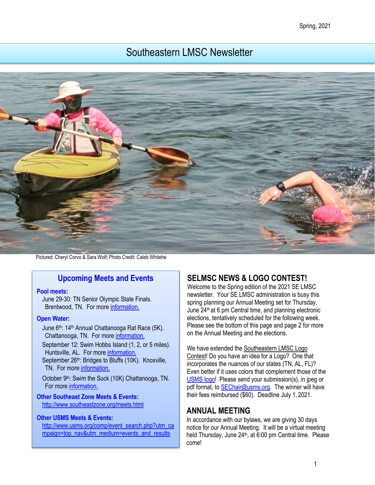#### Spring, 2021

# Southeastern LMSC Newsletter



Pictured: Cheryl Corvo & Sara Wolf; Photo Credit: Caleb Whitehe

### **Upcoming Meets and Events**

#### **Pool meets:**

June 29-30: TN Senior Olympic State Finals. Brentwood, TN. For more [information.](https://www.usms.org/events/events/tn-senior-olympics-state-finals?ID=8897) 

#### **Open Water:**

June 6<sup>th</sup>: 14<sup>th</sup> Annual Chattanooga Rat Race (5K). Chattanooga, TN. For more [information.](https://chattanoogaswimfest.org/) 

September 12: Swim Hobbs Island (1, 2, or 5 miles). Huntsville, AL. For more [information.](https://www.usms.org/events/events/swim-hobbs-island-2020?ID=8490) September 26<sup>th</sup>: Bridges to Bluffs (10K). Knoxville, TN. For more information.

October 9<sup>th</sup>: Swim the Suck (10K) Chattanooga, TN. For mor[e information.](http://www.swimthesuck.org/)

#### **Other Southeast Zone Meets & Events:**  <http://www.southeastzone.org/meets.html>

#### **Other USMS Meets & Events:**

[http://www.usms.org/comp/event\\_search.php?utm\\_ca](http://www.usms.org/comp/event_search.php?utm_campaign=top_nav&utm_medium=events_and_results) [mpaign=top\\_nav&utm\\_medium=events\\_and\\_results](http://www.usms.org/comp/event_search.php?utm_campaign=top_nav&utm_medium=events_and_results)

## **SELMSC NEWS & LOGO CONTEST!**

Welcome to the Spring edition of the 2021 SE LMSC newsletter. Your SE LMSC administration is busy this spring planning our Annual Meeting set for Thursday, June 24th at 6 pm Central time, and planning electronic elections, tentatively scheduled for the following week. Please see the bottom of this page and page 2 for more on the Annual Meeting and the elections.

We have extended the Southeastern LMSC Logo Contest! Do you have an idea for a Logo? One that incorporates the nuances of our states (TN, AL, FL)? Even better if it uses colors that complement those of the [USMS logo!](https://www.usms.org/logos/content/standardlogos) Please send your submission(s), in jpeg or pdf format, to **SEChair@usms.org**. The winner will have their fees reimbursed (\$60). Deadline July 1, 2021.

### **ANNUAL MEETING**

In accordance with our bylaws, we are giving 30 days notice for our Annual Meeting. It will be a virtual meeting held Thursday, June 24<sup>th</sup>, at 6:00 pm Central time. Please come!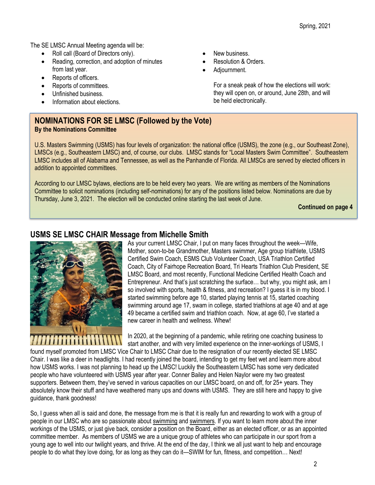The SE LMSC Annual Meeting agenda will be:

- Roll call (Board of Directors only).
- Reading, correction, and adoption of minutes from last year.
- Reports of officers.
- Reports of committees.
- Unfinished business.
- Information about elections.
- New business.
- Resolution & Orders.
- Adjournment.

For a sneak peak of how the elections will work: they will open on, or around, June 28th, and will be held electronically.

### **NOMINATIONS FOR SE LMSC (Followed by the Vote) By the Nominations Committee**

U.S. Masters Swimming (USMS) has four levels of organization: the national office (USMS), the zone (e.g., our Southeast Zone), LMSCs (e.g., Southeastern LMSC) and, of course, our clubs. LMSC stands for "Local Masters Swim Committee". Southeastern LMSC includes all of Alabama and Tennessee, as well as the Panhandle of Florida. All LMSCs are served by elected officers in addition to appointed committees.

According to our LMSC bylaws, elections are to be held every two years. We are writing as members of the Nominations Committee to solicit nominations (including self-nominations) for any of the positions listed below. Nominations are due by Thursday, June 3, 2021. The election will be conducted online starting the last week of June.

**Continued on page 4**

### **USMS SE LMSC CHAIR Message from Michelle Smith**



As your current LMSC Chair, I put on many faces throughout the week—Wife, Mother, soon-to-be Grandmother, Masters swimmer, Age group triathlete, USMS Certified Swim Coach, ESMS Club Volunteer Coach, USA Triathlon Certified Coach, City of Fairhope Recreation Board, Tri Hearts Triathlon Club President, SE LMSC Board, and most recently, Functional Medicine Certified Health Coach and Entrepreneur. And that's just scratching the surface… but why, you might ask, am I so involved with sports, health & fitness, and recreation? I guess it is in my blood. I started swimming before age 10, started playing tennis at 15, started coaching swimming around age 17, swam in college, started triathlons at age 40 and at age 49 became a certified swim and triathlon coach. Now, at age 60, I've started a new career in health and wellness. Whew!

In 2020, at the beginning of a pandemic, while retiring one coaching business to start another, and with very limited experience on the inner-workings of USMS, I

found myself promoted from LMSC Vice Chair to LMSC Chair due to the resignation of our recently elected SE LMSC Chair. I was like a deer in headlights. I had recently joined the board, intending to get my feet wet and learn more about how USMS works. I was not planning to head up the LMSC! Luckily the Southeastern LMSC has some very dedicated people who have volunteered with USMS year after year. Conner Bailey and Helen Naylor were my two greatest supporters. Between them, they've served in various capacities on our LMSC board, on and off, for 25+ years. They absolutely know their stuff and have weathered many ups and downs with USMS. They are still here and happy to give guidance, thank goodness!

So, I guess when all is said and done, the message from me is that it is really fun and rewarding to work with a group of people in our LMSC who are so passionate about swimming and swimmers. If you want to learn more about the inner workings of the USMS, or just give back, consider a position on the Board, either as an elected officer, or as an appointed committee member. As members of USMS we are a unique group of athletes who can participate in our sport from a young age to well into our twilight years, and thrive. At the end of the day, I think we all just want to help and encourage people to do what they love doing, for as long as they can do it—SWIM for fun, fitness, and competition… Next!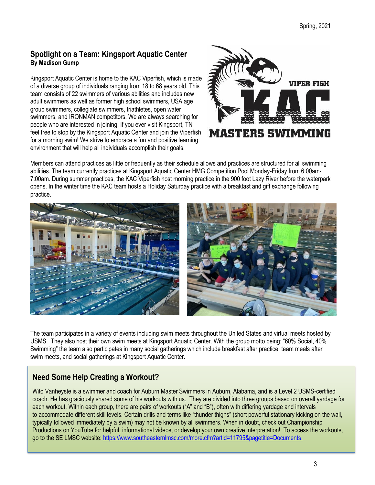### **Spotlight on a Team: Kingsport Aquatic Center By Madison Gump**

Kingsport Aquatic Center is home to the KAC Viperfish, which is made of a diverse group of individuals ranging from 18 to 68 years old. This team consists of 22 swimmers of various abilities and includes new adult swimmers as well as former high school swimmers, USA age group swimmers, collegiate swimmers, triathletes, open water swimmers, and IRONMAN competitors. We are always searching for people who are interested in joining. If you ever visit Kingsport, TN feel free to stop by the Kingsport Aquatic Center and join the Viperfish for a morning swim! We strive to embrace a fun and positive learning environment that will help all individuals accomplish their goals.



Members can attend practices as little or frequently as their schedule allows and practices are structured for all swimming abilities. The team currently practices at Kingsport Aquatic Center HMG Competition Pool Monday-Friday from 6:00am-7:00am. During summer practices, the KAC Viperfish host morning practice in the 900 foot Lazy River before the waterpark opens. In the winter time the KAC team hosts a Holiday Saturday practice with a breakfast and gift exchange following practice.



The team participates in a variety of events including swim meets throughout the United States and virtual meets hosted by USMS. They also host their own swim meets at Kingsport Aquatic Center. With the group motto being: "60% Social, 40% Swimming" the team also participates in many social gatherings which include breakfast after practice, team meals after swim meets, and social gatherings at Kingsport Aquatic Center.

# **Need Some Help Creating a Workout?**

Wito Vanheyste is a swimmer and coach for Auburn Master Swimmers in Auburn, Alabama, and is a Level 2 USMS-certified coach. He has graciously shared some of his workouts with us. They are divided into three groups based on overall yardage for each workout. Within each group, there are pairs of workouts ("A" and "B"), often with differing yardage and intervals to accommodate different skill levels. Certain drills and terms like "thunder thighs" (short powerful stationary kicking on the wall, typically followed immediately by a swim) may not be known by all swimmers. When in doubt, check out Championship Productions on YouTube for helpful, informational videos, or develop your own creative interpretation! To access the workouts, go to the SE LMSC website: [https://www.southeasternlmsc.com/more.cfm?artid=11795&pagetitle=Documents.](https://www.southeasternlmsc.com/more.cfm?artid=11795&pagetitle=Documents)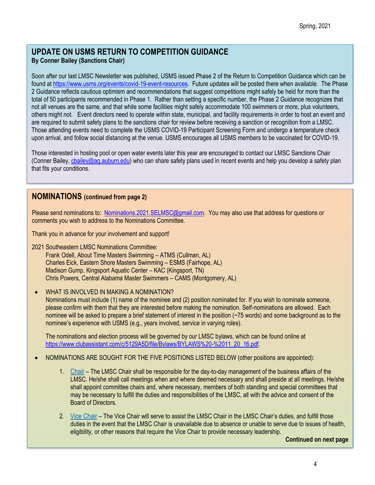### **UPDATE ON USMS RETURN TO COMPETITION GUIDANCE By Conner Bailey (Sanctions Chair)**

Soon after our last LMSC Newsletter was published, USMS issued Phase 2 of the Return to Competition Guidance which can be found a[t https://www.usms.org/events/covid-19-event-resources.](https://www.usms.org/events/covid-19-event-resources) Future updates will be posted there when available. The Phase 2 Guidance reflects cautious optimism and recommendations that suggest competitions might safely be held for more than the total of 50 participants recommended in Phase 1. Rather than setting a specific number, the Phase 2 Guidance recognizes that not all venues are the same, and that while some facilities might safely accommodate 100 swimmers or more, plus volunteers, others might not. Event directors need to operate within state, municipal, and facility requirements in order to host an event and are required to submit safety plans to the sanctions chair for review before receiving a sanction or recognition from a LMSC. Those attending events need to complete the USMS COVID-19 Participant Screening Form and undergo a temperature check upon arrival, and follow social distancing at the venue. USMS encourages all USMS members to be vaccinated for COVID-19.

Those interested in hosting pool or open water events later this year are encouraged to contact our LMSC Sanctions Chair (Conner Bailey, chailey@ag.auburn.edu) who can share safety plans used in recent events and help you develop a safety plan that fits your conditions.

### **NOMINATIONS (continued from page 2)**

Please send nominations to: [Nominations.2021.SELMSC@gmail.com.](mailto:Nominations.2021.SELMSC@gmail.com) You may also use that address for questions or comments you wish to address to the Nominations Committee.

Thank you in advance for your involvement and support!

- 2021 Southeastern LMSC Nominations Committee: Frank Odell, About Time Masters Swimming – ATMS (Cullman, AL) Charles Eick, Eastern Shore Masters Swimming – ESMS (Fairhope, AL) Madison Gump, Kingsport Aquatic Center – KAC (Kingsport, TN) Chris Powers, Central Alabama Master Swimmers – CAMS (Montgomery, AL)
- WHAT IS INVOLVED IN MAKING A NOMINATION?

Nominations must include (1) name of the nominee and (2) position nominated for. If you wish to nominate someone, please confirm with them that they are interested before making the nomination. Self-nominations are allowed. Each nominee will be asked to prepare a brief statement of interest in the position (~75 words) and some background as to the nominee's experience with USMS (e.g., years involved, service in varying roles).

The nominations and election process will be governed by our LMSC bylaws, which can be found online at [https://www.clubassistant.com/c/5129A5D/file/Bylaws/BYLAWS%20-%2011\\_20\\_16.pdf.](https://www.clubassistant.com/c/5129A5D/file/Bylaws/BYLAWS%20-%2011_20_16.pdf)

- NOMINATIONS ARE SOUGHT FOR THE FIVE POSITIONS LISTED BELOW (other positions are appointed):
	- 1. [Chair](https://www.usms.org/-/media/usms/pdfs/guide%20to%20operations%20-%20gto/lmsc%20management/role%20descriptions/role_descrip_chair.pdf) The LMSC Chair shall be responsible for the day-to-day management of the business affairs of the LMSC. He/she shall call meetings when and where deemed necessary and shall preside at all meetings. He/she shall appoint committee chairs and, where necessary, members of both standing and special committees that may be necessary to fulfill the duties and responsibilities of the LMSC, all with the advice and consent of the Board of Directors.
	- 2. Vice [Chair](https://www.usms.org/-/media/usms/pdfs/guide%20to%20operations%20-%20gto/lmsc%20management/role%20descriptions/role_descrip_vc.pdf) The Vice Chair will serve to assist the LMSC Chair in the LMSC Chair's duties, and fulfill those duties in the event that the LMSC Chair is unavailable due to absence or unable to serve due to issues of health, eligibility, or other reasons that require the Vice Chair to provide necessary leadership.

**Continued on next page**